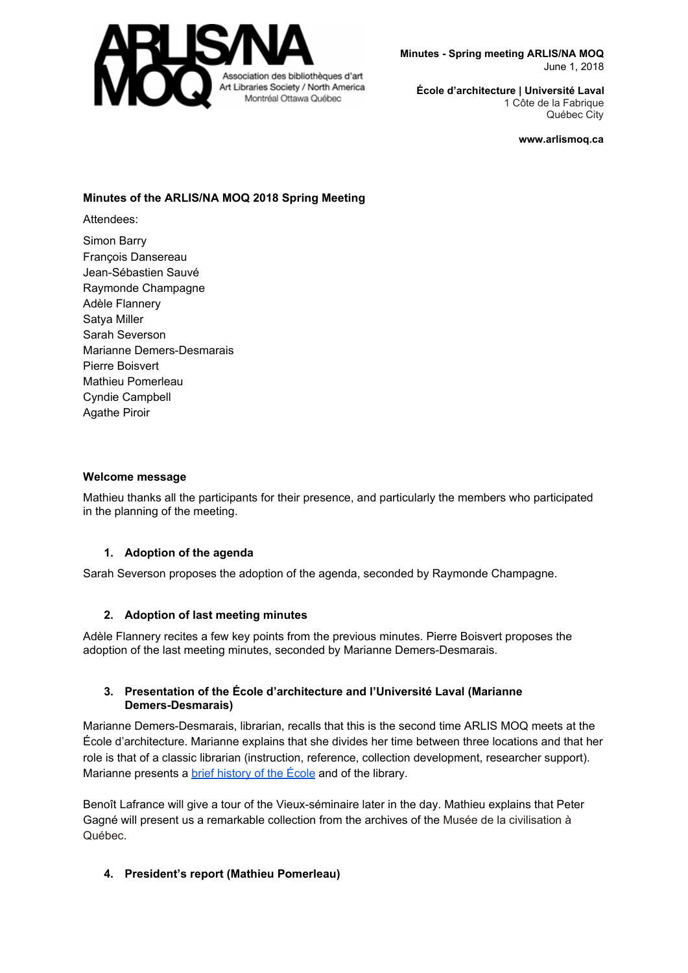

**Minutes - Spring meeting ARLIS/NA MOQ** June 1, 2018

**École d'architecture | Université Laval** 1 Côte de la Fabrique Québec City

**www.arlismoq.ca**

## **Minutes of the ARLIS/NA MOQ 2018 Spring Meeting**

Attendees:

Simon Barry François Dansereau Jean-Sébastien Sauvé Raymonde Champagne Adèle Flannery Satya Miller Sarah Severson Marianne Demers-Desmarais Pierre Boisvert Mathieu Pomerleau Cyndie Campbell Agathe Piroir

## **Welcome message**

Mathieu thanks all the participants for their presence, and particularly the members who participated in the planning of the meeting.

## **1. Adoption of the agenda**

Sarah Severson proposes the adoption of the agenda, seconded by Raymonde Champagne.

## **2. Adoption of last meeting minutes**

Adèle Flannery recites a few key points from the previous minutes. Pierre Boisvert proposes the adoption of the last meeting minutes, seconded by Marianne Demers-Desmarais.

## **3. Presentation of the École d'architecture and l'Université Laval (Marianne Demers-Desmarais)**

Marianne Demers-Desmarais, librarian, recalls that this is the second time ARLIS MOQ meets at the École d'architecture. Marianne explains that she divides her time between three locations and that her role is that of a classic librarian (instruction, reference, collection development, researcher support). Marianne presents a **brief [history](https://www.arc.ulaval.ca/a-propos/historique.html) of the École** and of the library.

Benoît Lafrance will give a tour of the Vieux-séminaire later in the day. Mathieu explains that Peter Gagné will present us a remarkable collection from the archives of the Musée de la civilisation à Québec.

## **4. President's report (Mathieu Pomerleau)**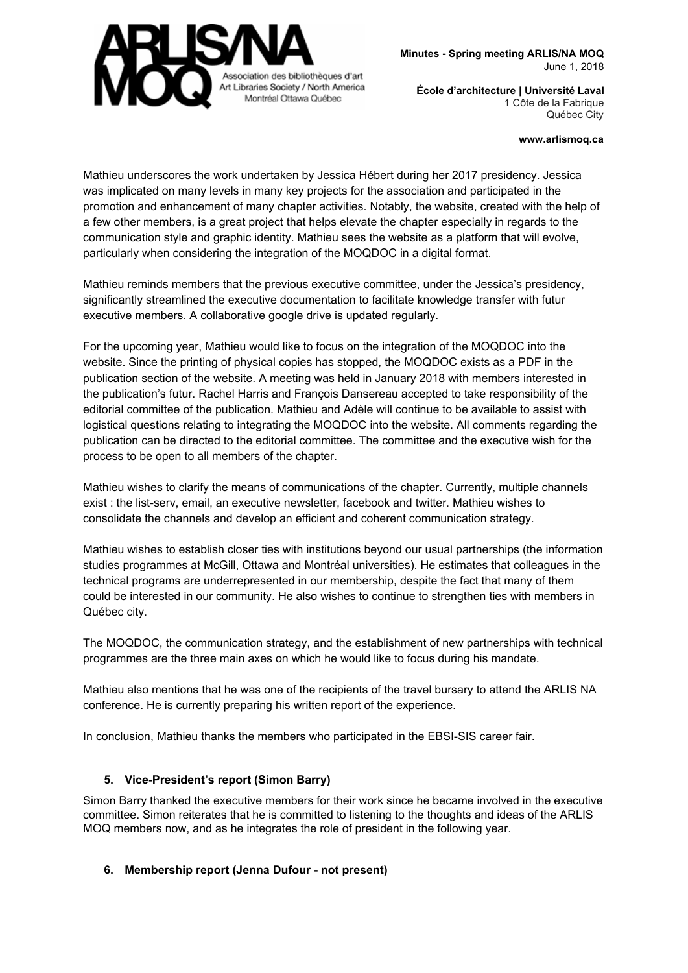

**Minutes - Spring meeting ARLIS/NA MOQ** June 1, 2018

**École d'architecture | Université Laval** 1 Côte de la Fabrique Québec City

**www.arlismoq.ca**

Mathieu underscores the work undertaken by Jessica Hébert during her 2017 presidency. Jessica was implicated on many levels in many key projects for the association and participated in the promotion and enhancement of many chapter activities. Notably, the website, created with the help of a few other members, is a great project that helps elevate the chapter especially in regards to the communication style and graphic identity. Mathieu sees the website as a platform that will evolve, particularly when considering the integration of the MOQDOC in a digital format.

Mathieu reminds members that the previous executive committee, under the Jessica's presidency, significantly streamlined the executive documentation to facilitate knowledge transfer with futur executive members. A collaborative google drive is updated regularly.

For the upcoming year, Mathieu would like to focus on the integration of the MOQDOC into the website. Since the printing of physical copies has stopped, the MOQDOC exists as a PDF in the publication section of the website. A meeting was held in January 2018 with members interested in the publication's futur. Rachel Harris and François Dansereau accepted to take responsibility of the editorial committee of the publication. Mathieu and Adèle will continue to be available to assist with logistical questions relating to integrating the MOQDOC into the website. All comments regarding the publication can be directed to the editorial committee. The committee and the executive wish for the process to be open to all members of the chapter.

Mathieu wishes to clarify the means of communications of the chapter. Currently, multiple channels exist : the list-serv, email, an executive newsletter, facebook and twitter. Mathieu wishes to consolidate the channels and develop an efficient and coherent communication strategy.

Mathieu wishes to establish closer ties with institutions beyond our usual partnerships (the information studies programmes at McGill, Ottawa and Montréal universities). He estimates that colleagues in the technical programs are underrepresented in our membership, despite the fact that many of them could be interested in our community. He also wishes to continue to strengthen ties with members in Québec city.

The MOQDOC, the communication strategy, and the establishment of new partnerships with technical programmes are the three main axes on which he would like to focus during his mandate.

Mathieu also mentions that he was one of the recipients of the travel bursary to attend the ARLIS NA conference. He is currently preparing his written report of the experience.

In conclusion, Mathieu thanks the members who participated in the EBSI-SIS career fair.

## **5. Vice-President's report (Simon Barry)**

Simon Barry thanked the executive members for their work since he became involved in the executive committee. Simon reiterates that he is committed to listening to the thoughts and ideas of the ARLIS MOQ members now, and as he integrates the role of president in the following year.

# **6. Membership report (Jenna Dufour - not present)**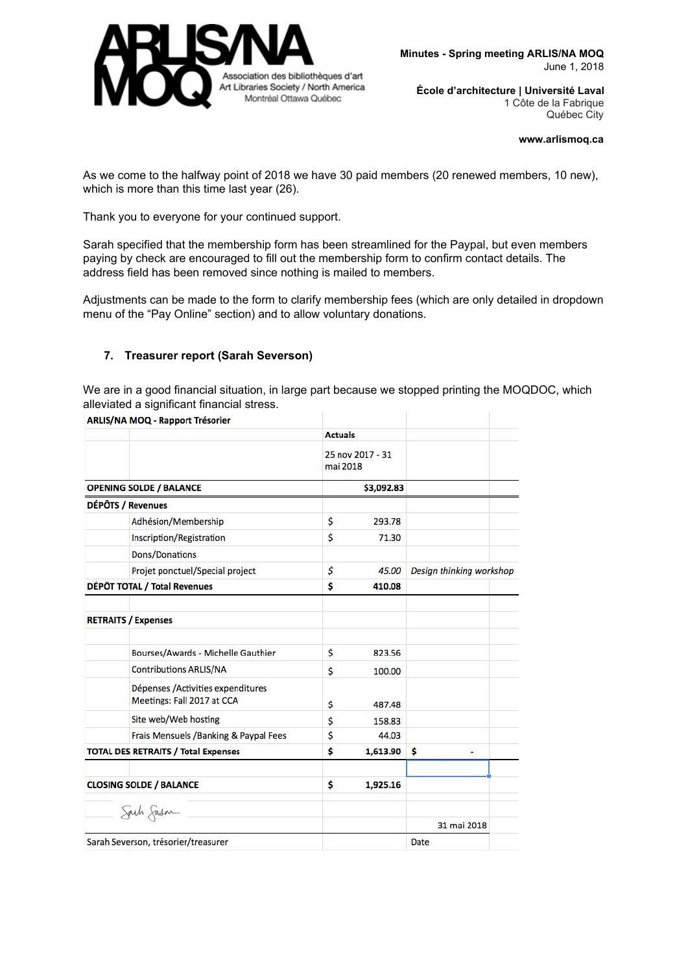

#### **www.arlismoq.ca**

As we come to the halfway point of 2018 we have 30 paid members (20 renewed members, 10 new), which is more than this time last year (26).

Thank you to everyone for your continued support.

Sarah specified that the membership form has been streamlined for the Paypal, but even members paying by check are encouraged to fill out the membership form to confirm contact details. The address field has been removed since nothing is mailed to members.

Adjustments can be made to the form to clarify membership fees (which are only detailed in dropdown menu of the "Pay Online" section) and to allow voluntary donations.

## **7. Treasurer report (Sarah Severson)**

We are in a good financial situation, in large part because we stopped printing the MOQDOC, which alleviated a significant financial stress.

|                                            | ARLIS/NA MOQ - Rapport Trésorier                                |                |                  |                          |  |
|--------------------------------------------|-----------------------------------------------------------------|----------------|------------------|--------------------------|--|
|                                            |                                                                 | <b>Actuals</b> |                  |                          |  |
|                                            |                                                                 | mai 2018       | 25 nov 2017 - 31 |                          |  |
| <b>OPENING SOLDE / BALANCE</b>             |                                                                 |                | \$3,092.83       |                          |  |
|                                            | DÉPÔTS / Revenues                                               |                |                  |                          |  |
|                                            | Adhésion/Membership                                             | \$             | 293.78           |                          |  |
|                                            | Inscription/Registration                                        | \$             | 71.30            |                          |  |
|                                            | Dons/Donations                                                  |                |                  |                          |  |
|                                            | Projet ponctuel/Special project                                 | \$             | 45.00            | Design thinking workshop |  |
| DÉPÔT TOTAL / Total Revenues               |                                                                 | \$             | 410.08           |                          |  |
|                                            | <b>RETRAITS / Expenses</b>                                      |                |                  |                          |  |
|                                            | Bourses/Awards - Michelle Gauthier                              | \$             | 823.56           |                          |  |
|                                            | <b>Contributions ARLIS/NA</b>                                   | \$             | 100.00           |                          |  |
|                                            | Dépenses /Activities expenditures<br>Meetings: Fall 2017 at CCA | \$             | 487.48           |                          |  |
|                                            | Site web/Web hosting                                            | \$             | 158.83           |                          |  |
|                                            | Frais Mensuels / Banking & Paypal Fees                          | \$             | 44.03            |                          |  |
| <b>TOTAL DES RETRAITS / Total Expenses</b> |                                                                 | \$             | 1,613.90         | \$.                      |  |
| <b>CLOSING SOLDE / BALANCE</b>             |                                                                 | \$             | 1,925.16         |                          |  |
|                                            | Sach Jasm                                                       |                |                  |                          |  |
|                                            |                                                                 |                |                  | 31 mai 2018              |  |
| Sarah Severson, trésorier/treasurer        |                                                                 |                |                  | Date                     |  |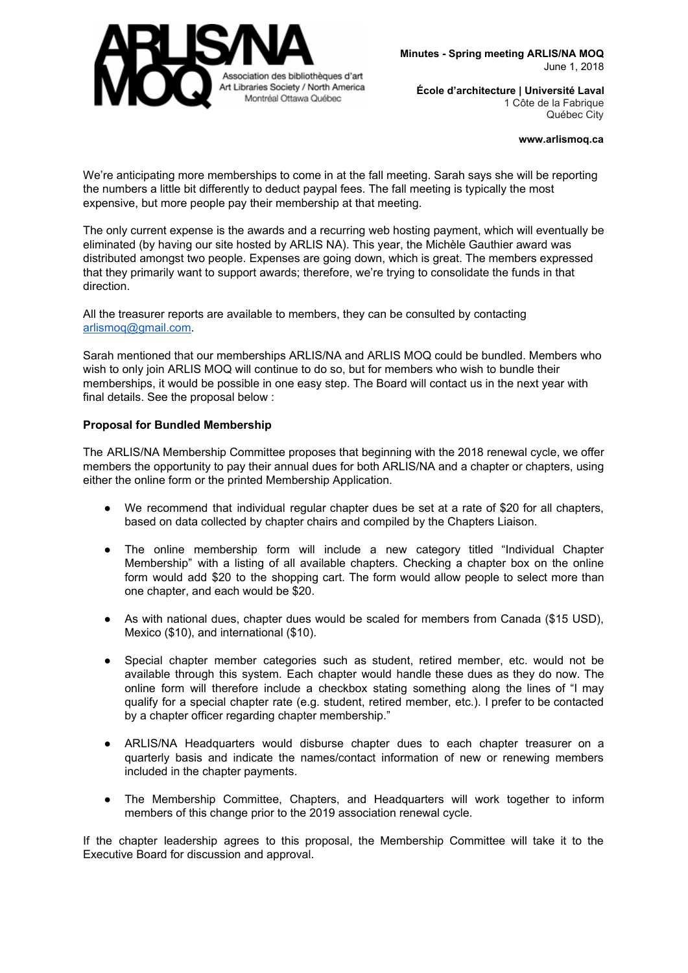

#### **www.arlismoq.ca**

We're anticipating more memberships to come in at the fall meeting. Sarah says she will be reporting the numbers a little bit differently to deduct paypal fees. The fall meeting is typically the most expensive, but more people pay their membership at that meeting.

The only current expense is the awards and a recurring web hosting payment, which will eventually be eliminated (by having our site hosted by ARLIS NA). This year, the Michèle Gauthier award was distributed amongst two people. Expenses are going down, which is great. The members expressed that they primarily want to support awards; therefore, we're trying to consolidate the funds in that direction.

All the treasurer reports are available to members, they can be consulted by contacting [arlismoq@gmail.com.](mailto:arlismoq@gmail.com)

Sarah mentioned that our memberships ARLIS/NA and ARLIS MOQ could be bundled. Members who wish to only join ARLIS MOQ will continue to do so, but for members who wish to bundle their memberships, it would be possible in one easy step. The Board will contact us in the next year with final details. See the proposal below :

## **Proposal for Bundled Membership**

The ARLIS/NA Membership Committee proposes that beginning with the 2018 renewal cycle, we offer members the opportunity to pay their annual dues for both ARLIS/NA and a chapter or chapters, using either the online form or the printed Membership Application.

- We recommend that individual regular chapter dues be set at a rate of \$20 for all chapters, based on data collected by chapter chairs and compiled by the Chapters Liaison.
- The online membership form will include a new category titled "Individual Chapter Membership" with a listing of all available chapters. Checking a chapter box on the online form would add \$20 to the shopping cart. The form would allow people to select more than one chapter, and each would be \$20.
- As with national dues, chapter dues would be scaled for members from Canada (\$15 USD), Mexico (\$10), and international (\$10).
- Special chapter member categories such as student, retired member, etc. would not be available through this system. Each chapter would handle these dues as they do now. The online form will therefore include a checkbox stating something along the lines of "I may qualify for a special chapter rate (e.g. student, retired member, etc.). I prefer to be contacted by a chapter officer regarding chapter membership."
- ARLIS/NA Headquarters would disburse chapter dues to each chapter treasurer on a quarterly basis and indicate the names/contact information of new or renewing members included in the chapter payments.
- The Membership Committee, Chapters, and Headquarters will work together to inform members of this change prior to the 2019 association renewal cycle.

If the chapter leadership agrees to this proposal, the Membership Committee will take it to the Executive Board for discussion and approval.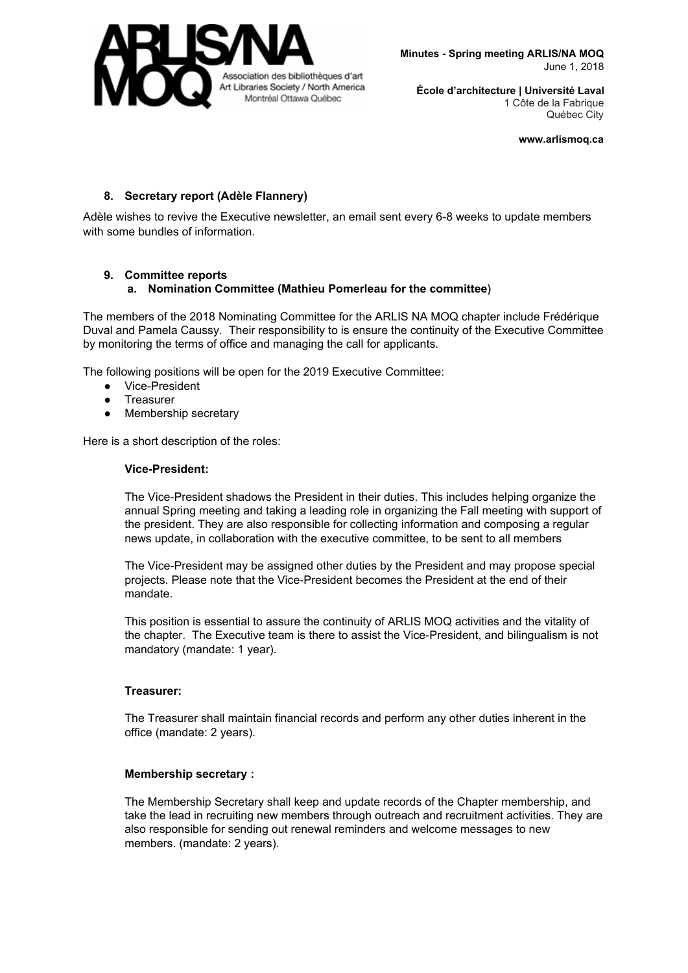

**www.arlismoq.ca**

# **8. Secretary report (Adèle Flannery)**

Adèle wishes to revive the Executive newsletter, an email sent every 6-8 weeks to update members with some bundles of information.

# **9. Committee reports**

# **a. Nomination Committee (Mathieu Pomerleau for the committee)**

The members of the 2018 Nominating Committee for the ARLIS NA MOQ chapter include Frédérique Duval and Pamela Caussy. Their responsibility to is ensure the continuity of the Executive Committee by monitoring the terms of office and managing the call for applicants.

The following positions will be open for the 2019 Executive Committee:

- Vice-President
- Treasurer
- Membership secretary

Here is a short description of the roles:

#### **Vice-President:**

The Vice-President shadows the President in their duties. This includes helping organize the annual Spring meeting and taking a leading role in organizing the Fall meeting with support of the president. They are also responsible for collecting information and composing a regular news update, in collaboration with the executive committee, to be sent to all members

The Vice-President may be assigned other duties by the President and may propose special projects. Please note that the Vice-President becomes the President at the end of their mandate.

This position is essential to assure the continuity of ARLIS MOQ activities and the vitality of the chapter. The Executive team is there to assist the Vice-President, and bilingualism is not mandatory (mandate: 1 year).

## **Treasurer:**

The Treasurer shall maintain financial records and perform any other duties inherent in the office (mandate: 2 years).

## **Membership secretary :**

The Membership Secretary shall keep and update records of the Chapter membership, and take the lead in recruiting new members through outreach and recruitment activities. They are also responsible for sending out renewal reminders and welcome messages to new members. (mandate: 2 years).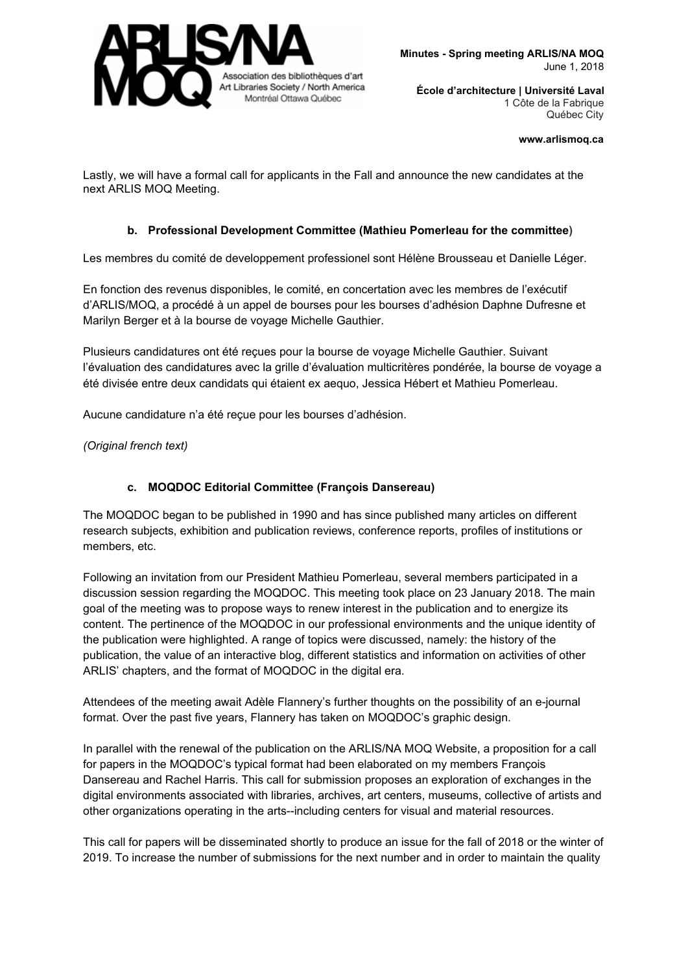

#### **www.arlismoq.ca**

Lastly, we will have a formal call for applicants in the Fall and announce the new candidates at the next ARLIS MOQ Meeting.

## **b. Professional Development Committee (Mathieu Pomerleau for the committee)**

Les membres du comité de developpement professionel sont Hélène Brousseau et Danielle Léger.

En fonction des revenus disponibles, le comité, en concertation avec les membres de l'exécutif d'ARLIS/MOQ, a procédé à un appel de bourses pour les bourses d'adhésion Daphne Dufresne et Marilyn Berger et à la bourse de voyage Michelle Gauthier.

Plusieurs candidatures ont été reçues pour la bourse de voyage Michelle Gauthier. Suivant l'évaluation des candidatures avec la grille d'évaluation multicritères pondérée, la bourse de voyage a été divisée entre deux candidats qui étaient ex aequo, Jessica Hébert et Mathieu Pomerleau.

Aucune candidature n'a été reçue pour les bourses d'adhésion.

*(Original french text)*

# **c. MOQDOC Editorial Committee (François Dansereau)**

The MOQDOC began to be published in 1990 and has since published many articles on different research subjects, exhibition and publication reviews, conference reports, profiles of institutions or members, etc.

Following an invitation from our President Mathieu Pomerleau, several members participated in a discussion session regarding the MOQDOC. This meeting took place on 23 January 2018. The main goal of the meeting was to propose ways to renew interest in the publication and to energize its content. The pertinence of the MOQDOC in our professional environments and the unique identity of the publication were highlighted. A range of topics were discussed, namely: the history of the publication, the value of an interactive blog, different statistics and information on activities of other ARLIS' chapters, and the format of MOQDOC in the digital era.

Attendees of the meeting await Adèle Flannery's further thoughts on the possibility of an e-journal format. Over the past five years, Flannery has taken on MOQDOC's graphic design.

In parallel with the renewal of the publication on the ARLIS/NA MOQ Website, a proposition for a call for papers in the MOQDOC's typical format had been elaborated on my members François Dansereau and Rachel Harris. This call for submission proposes an exploration of exchanges in the digital environments associated with libraries, archives, art centers, museums, collective of artists and other organizations operating in the arts--including centers for visual and material resources.

This call for papers will be disseminated shortly to produce an issue for the fall of 2018 or the winter of 2019. To increase the number of submissions for the next number and in order to maintain the quality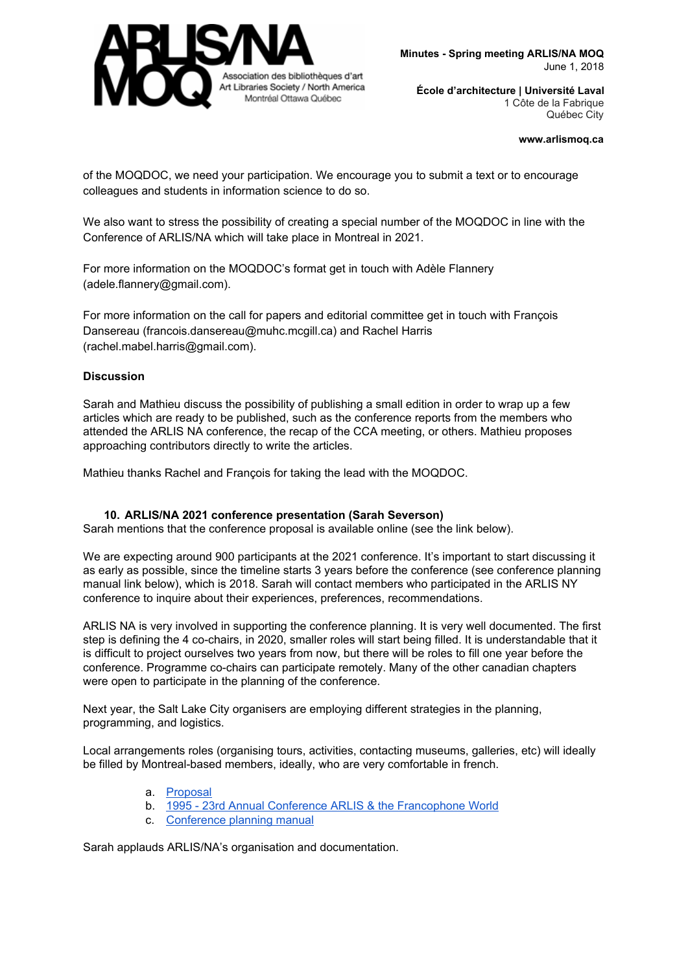

#### **www.arlismoq.ca**

of the MOQDOC, we need your participation. We encourage you to submit a text or to encourage colleagues and students in information science to do so.

We also want to stress the possibility of creating a special number of the MOQDOC in line with the Conference of ARLIS/NA which will take place in Montreal in 2021.

For more information on the MOQDOC's format get in touch with Adèle Flannery (adele.flannery@gmail.com).

For more information on the call for papers and editorial committee get in touch with François Dansereau (francois.dansereau@muhc.mcgill.ca) and Rachel Harris (rachel.mabel.harris@gmail.com).

#### **Discussion**

Sarah and Mathieu discuss the possibility of publishing a small edition in order to wrap up a few articles which are ready to be published, such as the conference reports from the members who attended the ARLIS NA conference, the recap of the CCA meeting, or others. Mathieu proposes approaching contributors directly to write the articles.

Mathieu thanks Rachel and François for taking the lead with the MOQDOC.

#### **10. ARLIS/NA 2021 conference presentation (Sarah Severson)**

Sarah mentions that the conference proposal is available online (see the link below).

We are expecting around 900 participants at the 2021 conference. It's important to start discussing it as early as possible, since the timeline starts 3 years before the conference (see conference planning manual link below), which is 2018. Sarah will contact members who participated in the ARLIS NY conference to inquire about their experiences, preferences, recommendations.

ARLIS NA is very involved in supporting the conference planning. It is very well documented. The first step is defining the 4 co-chairs, in 2020, smaller roles will start being filled. It is understandable that it is difficult to project ourselves two years from now, but there will be roles to fill one year before the conference. Programme co-chairs can participate remotely. Many of the other canadian chapters were open to participate in the planning of the conference.

Next year, the Salt Lake City organisers are employing different strategies in the planning, programming, and logistics.

Local arrangements roles (organising tours, activities, contacting museums, galleries, etc) will ideally be filled by Montreal-based members, ideally, who are very comfortable in french.

- a. [Proposal](http://arlismoq.ca/arlis-na-conference-in-montreal-in-2021/)
- b. 1995 23rd Annual Conference ARLIS & the [Francophone](https://www.arlisna.org/images/conferences/1995/program.pdf) World
- c. [Conference](https://arlisna.org/images/admindocs/planning/confplanman.pdf) planning manual

Sarah applauds ARLIS/NA's organisation and documentation.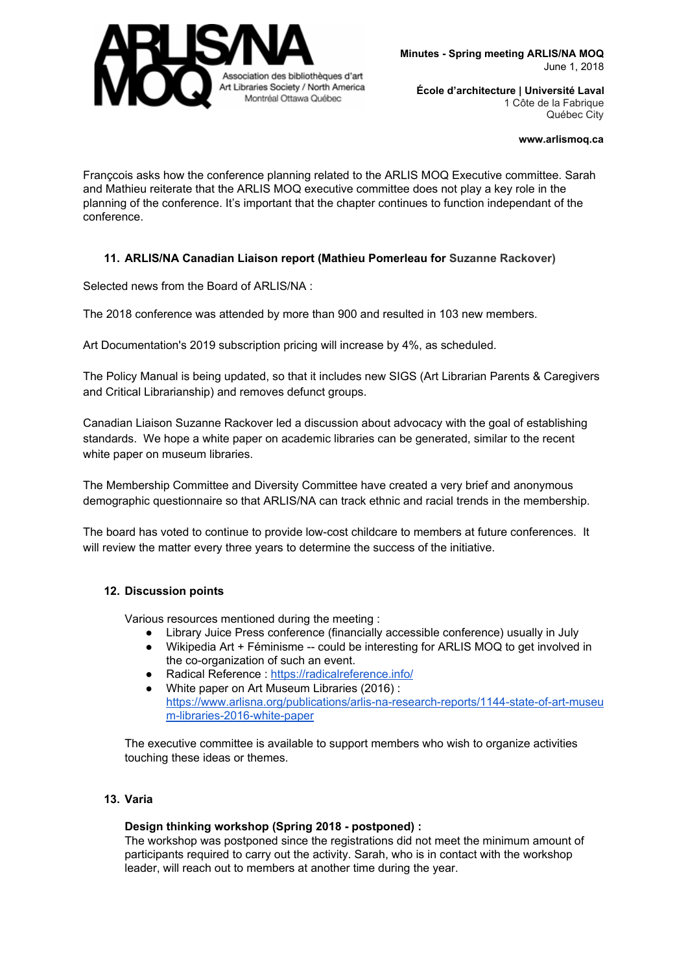

#### **www.arlismoq.ca**

Françcois asks how the conference planning related to the ARLIS MOQ Executive committee. Sarah and Mathieu reiterate that the ARLIS MOQ executive committee does not play a key role in the planning of the conference. It's important that the chapter continues to function independant of the conference.

# **11. ARLIS/NA Canadian Liaison report (Mathieu Pomerleau for Suzanne Rackover)**

Selected news from the Board of ARLIS/NA :

The 2018 conference was attended by more than 900 and resulted in 103 new members.

Art Documentation's 2019 subscription pricing will increase by 4%, as scheduled.

The Policy Manual is being updated, so that it includes new SIGS (Art Librarian Parents & Caregivers and Critical Librarianship) and removes defunct groups.

Canadian Liaison Suzanne Rackover led a discussion about advocacy with the goal of establishing standards. We hope a white paper on academic libraries can be generated, similar to the recent white paper on museum libraries.

The Membership Committee and Diversity Committee have created a very brief and anonymous demographic questionnaire so that ARLIS/NA can track ethnic and racial trends in the membership.

The board has voted to continue to provide low-cost childcare to members at future conferences. It will review the matter every three years to determine the success of the initiative.

## **12. Discussion points**

Various resources mentioned during the meeting :

- Library Juice Press conference (financially accessible conference) usually in July
- Wikipedia Art + Féminisme -- could be interesting for ARLIS MOQ to get involved in the co-organization of such an event.
- Radical Reference : <https://radicalreference.info/>
- White paper on Art Museum Libraries (2016) : [https://www.arlisna.org/publications/arlis-na-research-reports/1144-state-of-art-museu](https://www.arlisna.org/publications/arlis-na-research-reports/1144-state-of-art-museum-libraries-2016-white-paper) [m-libraries-2016-white-paper](https://www.arlisna.org/publications/arlis-na-research-reports/1144-state-of-art-museum-libraries-2016-white-paper)

The executive committee is available to support members who wish to organize activities touching these ideas or themes.

## **13. Varia**

#### **Design thinking workshop (Spring 2018 - postponed) :**

The workshop was postponed since the registrations did not meet the minimum amount of participants required to carry out the activity. Sarah, who is in contact with the workshop leader, will reach out to members at another time during the year.